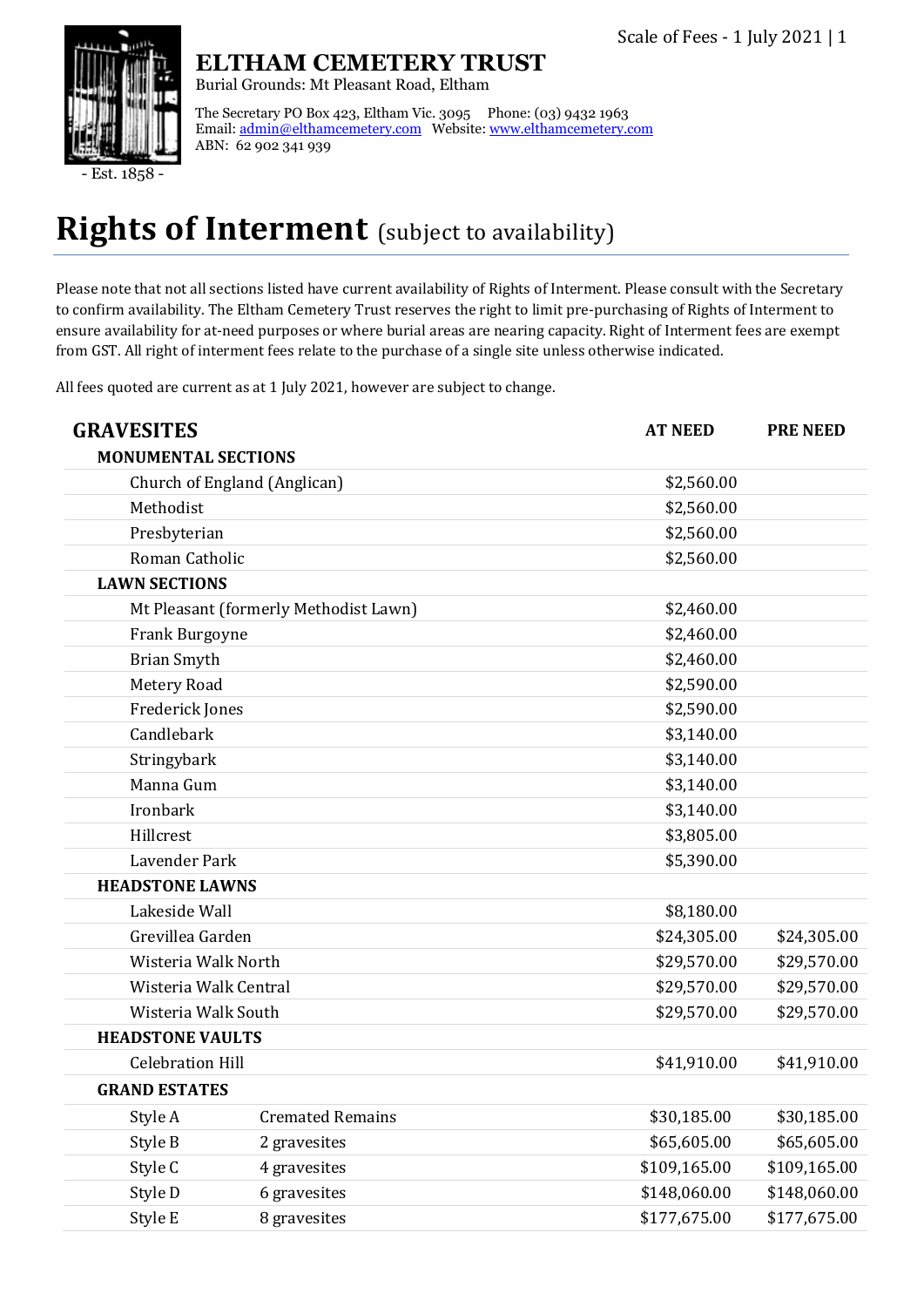

 $\overline{\text{Est}}$ . 1858

### **ELTHAM CEMETERY TRUST**

Burial Grounds: Mt Pleasant Road, Eltham

The Secretary PO Box 423, Eltham Vic. 3095 Phone: (03) 9432 1963 Email[: admin@elthamcemetery.com](mailto:admin@elthamcemetery.com) Website[: www.elthamcemetery.com](http://www.elthamcemetery.com/) ABN: 62 902 341 939

## **Rights of Interment** (subject to availability)

Please note that not all sections listed have current availability of Rights of Interment. Please consult with the Secretary to confirm availability. The Eltham Cemetery Trust reserves the right to limit pre-purchasing of Rights of Interment to ensure availability for at-need purposes or where burial areas are nearing capacity. Right of Interment fees are exempt from GST. All right of interment fees relate to the purchase of a single site unless otherwise indicated.

All fees quoted are current as at 1 July 2021, however are subject to change.

| <b>GRAVESITES</b>          |                                       | <b>AT NEED</b> | <b>PRE NEED</b> |
|----------------------------|---------------------------------------|----------------|-----------------|
| <b>MONUMENTAL SECTIONS</b> |                                       |                |                 |
|                            | Church of England (Anglican)          | \$2,560.00     |                 |
| Methodist                  |                                       | \$2,560.00     |                 |
| Presbyterian               |                                       | \$2,560.00     |                 |
| Roman Catholic             |                                       | \$2,560.00     |                 |
| <b>LAWN SECTIONS</b>       |                                       |                |                 |
|                            | Mt Pleasant (formerly Methodist Lawn) | \$2,460.00     |                 |
| Frank Burgoyne             |                                       | \$2,460.00     |                 |
| <b>Brian Smyth</b>         |                                       | \$2,460.00     |                 |
| Metery Road                |                                       | \$2,590.00     |                 |
| Frederick Jones            |                                       | \$2,590.00     |                 |
| Candlebark                 |                                       | \$3,140.00     |                 |
| Stringybark                |                                       | \$3,140.00     |                 |
| Manna Gum                  |                                       | \$3,140.00     |                 |
| Ironbark                   |                                       | \$3,140.00     |                 |
| Hillcrest                  |                                       | \$3,805.00     |                 |
| Lavender Park              |                                       | \$5,390.00     |                 |
| <b>HEADSTONE LAWNS</b>     |                                       |                |                 |
| Lakeside Wall              |                                       | \$8,180.00     |                 |
| Grevillea Garden           |                                       | \$24,305.00    | \$24,305.00     |
| Wisteria Walk North        |                                       | \$29,570.00    | \$29,570.00     |
|                            | Wisteria Walk Central                 | \$29,570.00    | \$29,570.00     |
| Wisteria Walk South        |                                       | \$29,570.00    | \$29,570.00     |
| <b>HEADSTONE VAULTS</b>    |                                       |                |                 |
| <b>Celebration Hill</b>    |                                       | \$41,910.00    | \$41,910.00     |
| <b>GRAND ESTATES</b>       |                                       |                |                 |
| Style A                    | <b>Cremated Remains</b>               | \$30,185.00    | \$30,185.00     |
| Style B                    | 2 gravesites                          | \$65,605.00    | \$65,605.00     |
| Style C                    | 4 gravesites                          | \$109,165.00   | \$109,165.00    |
| Style D                    | 6 gravesites                          | \$148,060.00   | \$148,060.00    |
| Style E                    | 8 gravesites                          | \$177,675.00   | \$177,675.00    |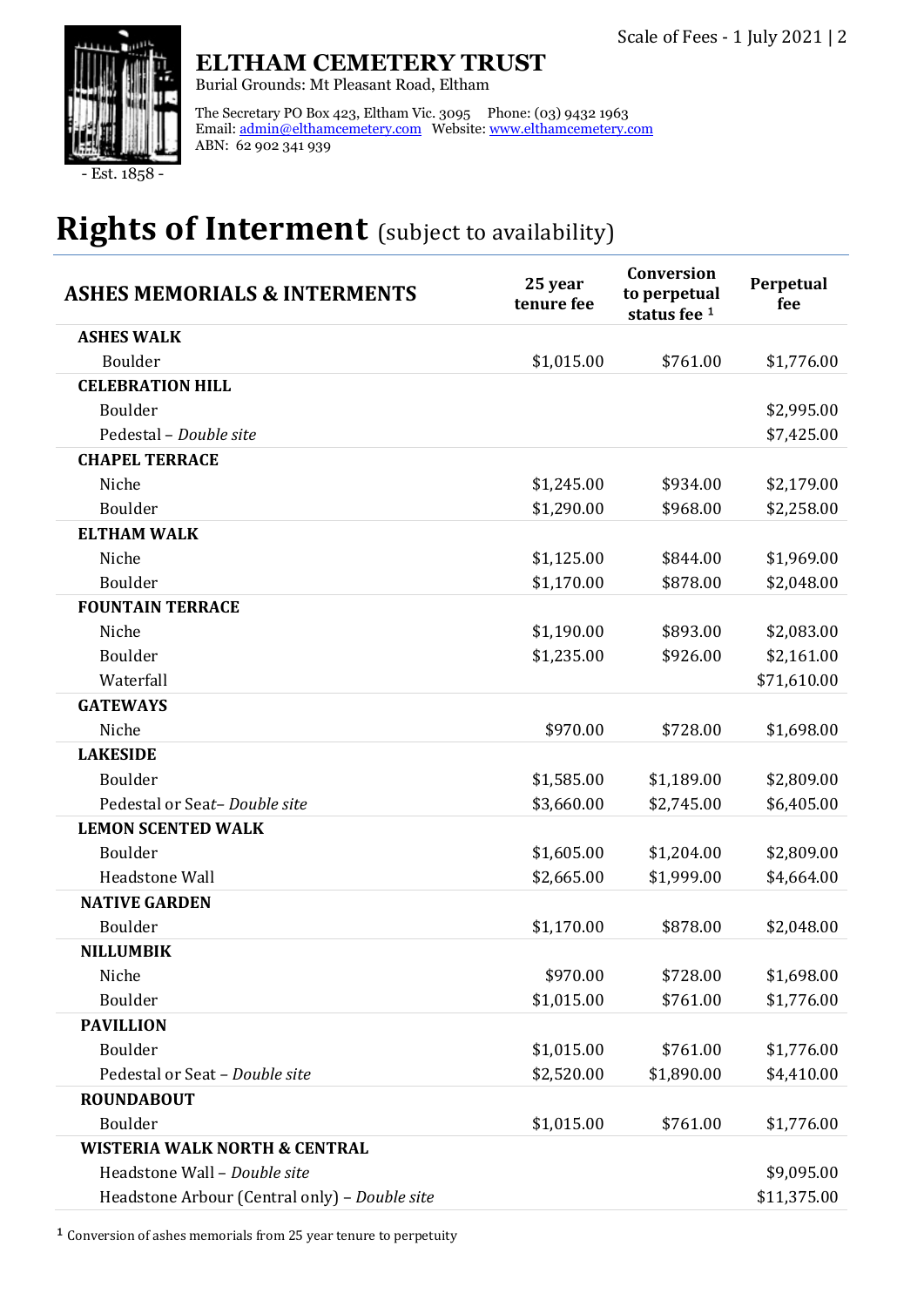

### **ELTHAM CEMETERY TRUST**

Burial Grounds: Mt Pleasant Road, Eltham

The Secretary PO Box 423, Eltham Vic. 3095 Phone: (03) 9432 1963 Email: <u>admin@elthamcemetery.com</u> Website: <u>www.elthamcemetery.com</u> ABN: 62 902 341 939

Est. 1858

## **Rights of Interment** (subject to availability)

| <b>ASHES MEMORIALS &amp; INTERMENTS</b>       | 25 year<br>tenure fee | Conversion<br>to perpetual<br>status fee 1 | Perpetual<br>fee |
|-----------------------------------------------|-----------------------|--------------------------------------------|------------------|
| <b>ASHES WALK</b>                             |                       |                                            |                  |
| Boulder                                       | \$1,015.00            | \$761.00                                   | \$1,776.00       |
| <b>CELEBRATION HILL</b>                       |                       |                                            |                  |
| Boulder                                       |                       |                                            | \$2,995.00       |
| Pedestal - Double site                        |                       |                                            | \$7,425.00       |
| <b>CHAPEL TERRACE</b>                         |                       |                                            |                  |
| Niche                                         | \$1,245.00            | \$934.00                                   | \$2,179.00       |
| Boulder                                       | \$1,290.00            | \$968.00                                   | \$2,258.00       |
| <b>ELTHAM WALK</b>                            |                       |                                            |                  |
| Niche                                         | \$1,125.00            | \$844.00                                   | \$1,969.00       |
| Boulder                                       | \$1,170.00            | \$878.00                                   | \$2,048.00       |
| <b>FOUNTAIN TERRACE</b>                       |                       |                                            |                  |
| Niche                                         | \$1,190.00            | \$893.00                                   | \$2,083.00       |
| Boulder                                       | \$1,235.00            | \$926.00                                   | \$2,161.00       |
| Waterfall                                     |                       |                                            | \$71,610.00      |
| <b>GATEWAYS</b>                               |                       |                                            |                  |
| Niche                                         | \$970.00              | \$728.00                                   | \$1,698.00       |
| <b>LAKESIDE</b>                               |                       |                                            |                  |
| Boulder                                       | \$1,585.00            | \$1,189.00                                 | \$2,809.00       |
| Pedestal or Seat-Double site                  | \$3,660.00            | \$2,745.00                                 | \$6,405.00       |
| <b>LEMON SCENTED WALK</b>                     |                       |                                            |                  |
| Boulder                                       | \$1,605.00            | \$1,204.00                                 | \$2,809.00       |
| <b>Headstone Wall</b>                         | \$2,665.00            | \$1,999.00                                 | \$4,664.00       |
| <b>NATIVE GARDEN</b>                          |                       |                                            |                  |
| Boulder                                       | \$1,170.00            | \$878.00                                   | \$2,048.00       |
| <b>NILLUMBIK</b>                              |                       |                                            |                  |
| Niche                                         | \$970.00              | \$728.00                                   | \$1,698.00       |
| Boulder                                       | \$1,015.00            | \$761.00                                   | \$1,776.00       |
| <b>PAVILLION</b>                              |                       |                                            |                  |
| Boulder                                       | \$1,015.00            | \$761.00                                   | \$1,776.00       |
| Pedestal or Seat - Double site                | \$2,520.00            | \$1,890.00                                 | \$4,410.00       |
| <b>ROUNDABOUT</b>                             |                       |                                            |                  |
| Boulder                                       | \$1,015.00            | \$761.00                                   | \$1,776.00       |
| <b>WISTERIA WALK NORTH &amp; CENTRAL</b>      |                       |                                            |                  |
| Headstone Wall - Double site                  |                       |                                            | \$9,095.00       |
| Headstone Arbour (Central only) - Double site |                       |                                            | \$11,375.00      |

 $^{\text{1}}$  Conversion of ashes memorials from 25 year tenure to perpetuity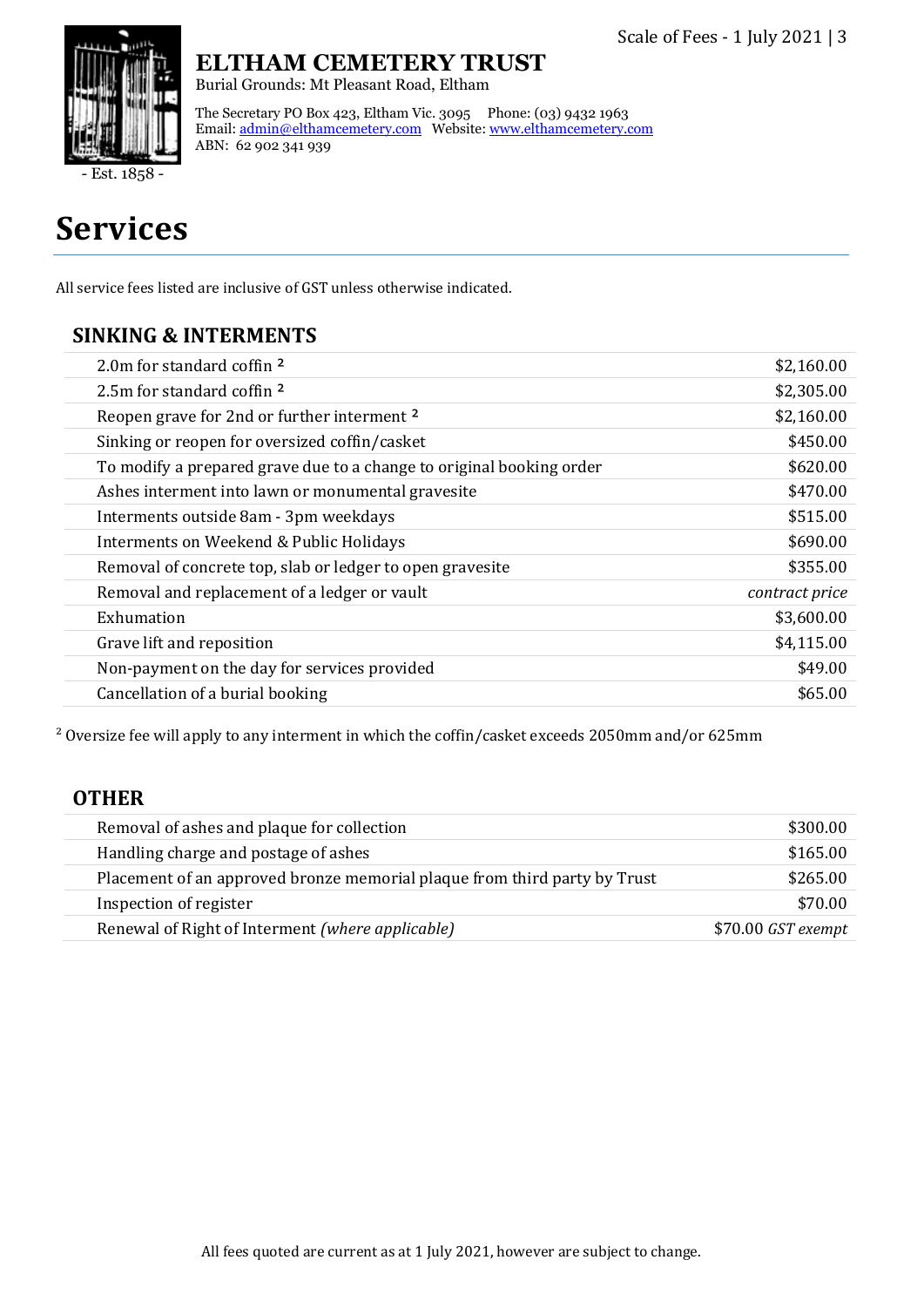

Est. 1858

## **Services**

All service fees listed are inclusive of GST unless otherwise indicated.

ABN: 62 902 341 939

**ELTHAM CEMETERY TRUST**

The Secretary PO Box 423, Eltham Vic. 3095 Phone: (03) 9432 1963 Email[: admin@elthamcemetery.com](mailto:admin@elthamcemetery.com) Website[: www.elthamcemetery.com](http://www.elthamcemetery.com/)

Burial Grounds: Mt Pleasant Road, Eltham

#### **SINKING & INTERMENTS**

| 2.0m for standard coffin 2                                           | \$2,160.00     |
|----------------------------------------------------------------------|----------------|
| 2.5m for standard coffin 2                                           | \$2,305.00     |
| Reopen grave for 2nd or further interment 2                          | \$2,160.00     |
| Sinking or reopen for oversized coffin/casket                        | \$450.00       |
| To modify a prepared grave due to a change to original booking order | \$620.00       |
| Ashes interment into lawn or monumental gravesite                    | \$470.00       |
| Interments outside 8am - 3pm weekdays                                | \$515.00       |
| Interments on Weekend & Public Holidays                              | \$690.00       |
| Removal of concrete top, slab or ledger to open gravesite            | \$355.00       |
| Removal and replacement of a ledger or vault                         | contract price |
| Exhumation                                                           | \$3,600.00     |
| Grave lift and reposition                                            | \$4,115.00     |
| Non-payment on the day for services provided                         | \$49.00        |
| Cancellation of a burial booking                                     | \$65.00        |
|                                                                      |                |

² Oversize fee will apply to any interment in which the coffin/casket exceeds 2050mm and/or 625mm

#### **OTHER**

| Removal of ashes and plaque for collection                                | \$300.00            |
|---------------------------------------------------------------------------|---------------------|
| Handling charge and postage of ashes                                      | \$165.00            |
| Placement of an approved bronze memorial plaque from third party by Trust | \$265.00            |
| Inspection of register                                                    | \$70.00             |
| Renewal of Right of Interment (where applicable)                          | $$70.00$ GST exempt |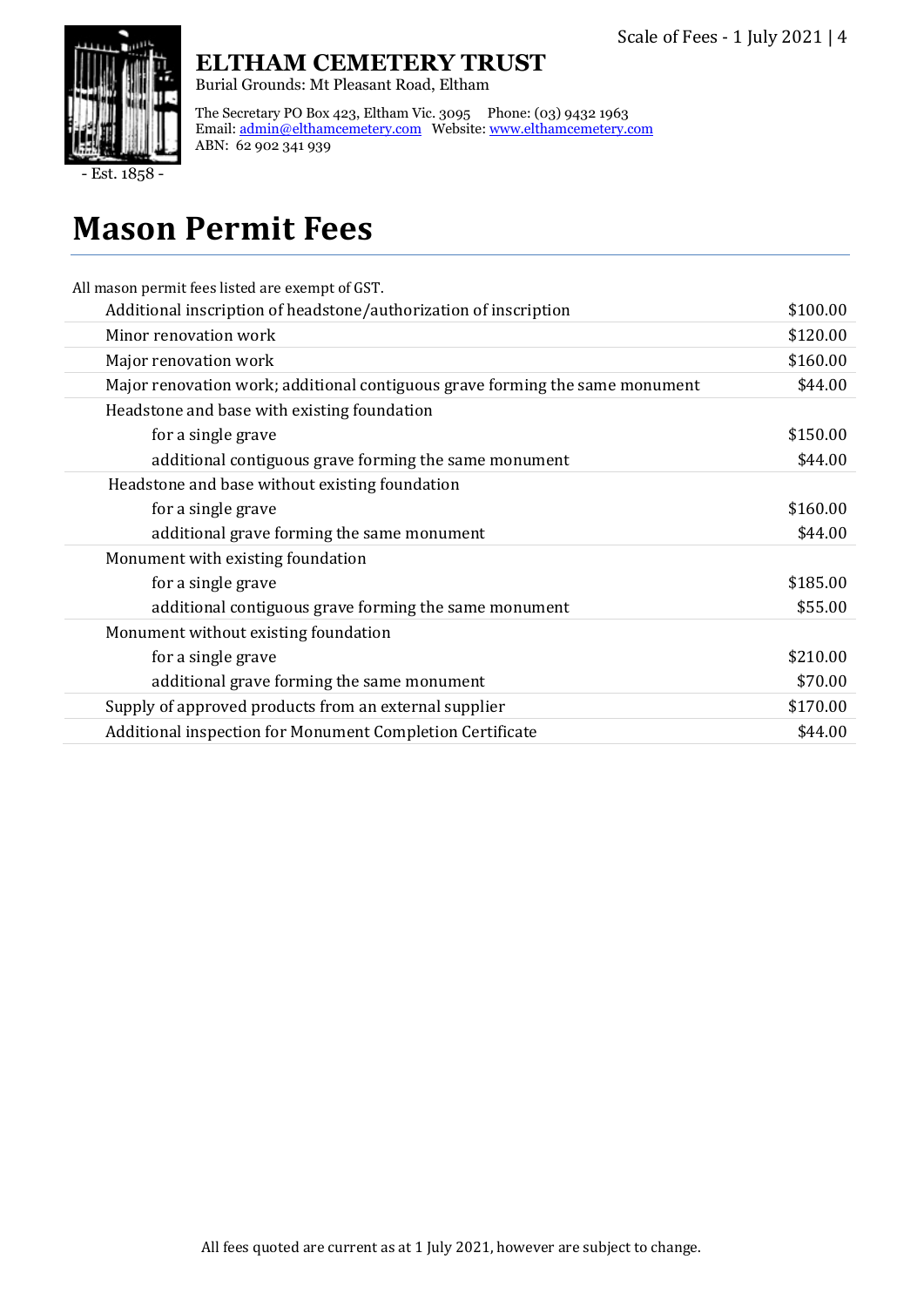

### **ELTHAM CEMETERY TRUST**

Burial Grounds: Mt Pleasant Road, Eltham

The Secretary PO Box 423, Eltham Vic. 3095 Phone: (03) 9432 1963 Email: <u>admin@elthamcemetery.com</u> Website: <u>www.elthamcemetery.com</u> ABN: 62 902 341 939

Est. 1858

# **Mason Permit Fees**

| All mason permit fees listed are exempt of GST.                              |          |
|------------------------------------------------------------------------------|----------|
| Additional inscription of headstone/authorization of inscription             | \$100.00 |
| Minor renovation work                                                        | \$120.00 |
| Major renovation work                                                        | \$160.00 |
| Major renovation work; additional contiguous grave forming the same monument | \$44.00  |
| Headstone and base with existing foundation                                  |          |
| for a single grave                                                           | \$150.00 |
| additional contiguous grave forming the same monument                        | \$44.00  |
| Headstone and base without existing foundation                               |          |
| for a single grave                                                           | \$160.00 |
| additional grave forming the same monument                                   | \$44.00  |
| Monument with existing foundation                                            |          |
| for a single grave                                                           | \$185.00 |
| additional contiguous grave forming the same monument                        | \$55.00  |
| Monument without existing foundation                                         |          |
| for a single grave                                                           | \$210.00 |
| additional grave forming the same monument                                   | \$70.00  |
| Supply of approved products from an external supplier                        | \$170.00 |
| Additional inspection for Monument Completion Certificate                    | \$44.00  |
|                                                                              |          |